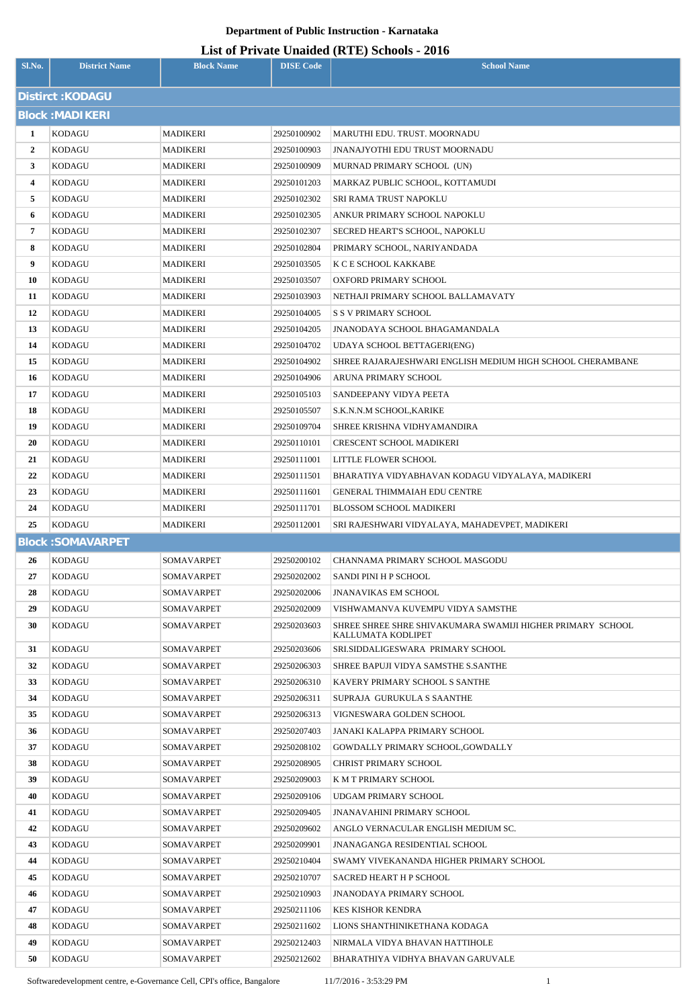## **Department of Public Instruction - Karnataka**

| List of Private Unaided (RTE) Schools - 2016 |
|----------------------------------------------|
|----------------------------------------------|

| Sl.No.                 | <b>District Name</b>     | <b>Block Name</b>               | <b>DISE Code</b>           | $\frac{1}{2}$<br><b>School Name</b>                        |  |  |  |  |
|------------------------|--------------------------|---------------------------------|----------------------------|------------------------------------------------------------|--|--|--|--|
| Distirct: KODAGU       |                          |                                 |                            |                                                            |  |  |  |  |
| <b>Block: MADIKERI</b> |                          |                                 |                            |                                                            |  |  |  |  |
| 1                      | <b>KODAGU</b>            | <b>MADIKERI</b>                 | 29250100902                | MARUTHI EDU. TRUST. MOORNADU                               |  |  |  |  |
| $\overline{2}$         | KODAGU                   | MADIKERI                        | 29250100903                | <b>JNANAJYOTHI EDU TRUST MOORNADU</b>                      |  |  |  |  |
| $\mathbf{3}$           | KODAGU                   | MADIKERI                        | 29250100909                | MURNAD PRIMARY SCHOOL (UN)                                 |  |  |  |  |
| 4                      | KODAGU                   | MADIKERI                        | 29250101203                | MARKAZ PUBLIC SCHOOL, KOTTAMUDI                            |  |  |  |  |
| 5                      | KODAGU                   | MADIKERI                        | 29250102302                | SRI RAMA TRUST NAPOKLU                                     |  |  |  |  |
| 6                      | KODAGU                   | MADIKERI                        | 29250102305                | ANKUR PRIMARY SCHOOL NAPOKLU                               |  |  |  |  |
| 7                      | KODAGU                   | MADIKERI                        | 29250102307                | SECRED HEART'S SCHOOL, NAPOKLU                             |  |  |  |  |
| 8                      | KODAGU                   | MADIKERI                        | 29250102804                | PRIMARY SCHOOL, NARIYANDADA                                |  |  |  |  |
| 9                      | KODAGU                   | <b>MADIKERI</b>                 | 29250103505                | K C E SCHOOL KAKKABE                                       |  |  |  |  |
| 10                     | KODAGU                   | MADIKERI                        | 29250103507                | OXFORD PRIMARY SCHOOL                                      |  |  |  |  |
| 11                     | <b>KODAGU</b>            | MADIKERI                        | 29250103903                | NETHAJI PRIMARY SCHOOL BALLAMAVATY                         |  |  |  |  |
| 12                     | KODAGU                   | MADIKERI                        | 29250104005                | <b>S S V PRIMARY SCHOOL</b>                                |  |  |  |  |
| 13                     | KODAGU                   | MADIKERI                        | 29250104205                | JNANODAYA SCHOOL BHAGAMANDALA                              |  |  |  |  |
| 14                     | <b>KODAGU</b>            | MADIKERI                        | 29250104702                | UDAYA SCHOOL BETTAGERI(ENG)                                |  |  |  |  |
| 15                     | KODAGU                   | MADIKERI                        | 29250104902                | SHREE RAJARAJESHWARI ENGLISH MEDIUM HIGH SCHOOL CHERAMBANE |  |  |  |  |
| 16                     | KODAGU                   | MADIKERI                        | 29250104906                | ARUNA PRIMARY SCHOOL                                       |  |  |  |  |
| 17                     | KODAGU                   | MADIKERI                        | 29250105103                | SANDEEPANY VIDYA PEETA                                     |  |  |  |  |
| 18                     | KODAGU                   | MADIKERI                        | 29250105507                | S.K.N.N.M SCHOOL, KARIKE                                   |  |  |  |  |
| 19                     | KODAGU                   | MADIKERI                        | 29250109704                | SHREE KRISHNA VIDHYAMANDIRA                                |  |  |  |  |
| 20                     | KODAGU                   | MADIKERI                        | 29250110101                | CRESCENT SCHOOL MADIKERI                                   |  |  |  |  |
| 21                     | KODAGU                   | MADIKERI                        | 29250111001                | LITTLE FLOWER SCHOOL                                       |  |  |  |  |
| 22                     | KODAGU                   | MADIKERI                        | 29250111501                | BHARATIYA VIDYABHAVAN KODAGU VIDYALAYA, MADIKERI           |  |  |  |  |
| 23                     | KODAGU                   | <b>MADIKERI</b>                 | 29250111601                | GENERAL THIMMAIAH EDU CENTRE                               |  |  |  |  |
| 24                     | <b>KODAGU</b>            | MADIKERI                        | 29250111701                | BLOSSOM SCHOOL MADIKERI                                    |  |  |  |  |
| 25                     | KODAGU                   | MADIKERI                        | 29250112001                | SRI RAJESHWARI VIDYALAYA, MAHADEVPET, MADIKERI             |  |  |  |  |
|                        | <b>Block: SOMAVARPET</b> |                                 |                            |                                                            |  |  |  |  |
| 26                     | <b>KODAGU</b>            | SOMAVARPET                      | 29250200102                | CHANNAMA PRIMARY SCHOOL MASGODU                            |  |  |  |  |
| 27<br>28               | KODAGU<br><b>KODAGU</b>  | SOMAVARPET<br><b>SOMAVARPET</b> | 29250202002<br>29250202006 | SANDI PINI H P SCHOOL<br><b>JNANAVIKAS EM SCHOOL</b>       |  |  |  |  |
| 29                     | KODAGU                   | SOMAVARPET                      | 29250202009                | VISHWAMANVA KUVEMPU VIDYA SAMSTHE                          |  |  |  |  |
| 30                     | KODAGU                   | <b>SOMAVARPET</b>               | 29250203603                | SHREE SHREE SHRE SHIVAKUMARA SWAMIJI HIGHER PRIMARY SCHOOL |  |  |  |  |
|                        |                          |                                 |                            | KALLUMATA KODLIPET                                         |  |  |  |  |
| 31                     | KODAGU                   | SOMAVARPET                      | 29250203606                | SRI.SIDDALIGESWARA PRIMARY SCHOOL                          |  |  |  |  |
| 32                     | <b>KODAGU</b>            | SOMAVARPET                      | 29250206303                | SHREE BAPUJI VIDYA SAMSTHE S.SANTHE                        |  |  |  |  |
| 33                     | KODAGU                   | SOMAVARPET                      | 29250206310                | KAVERY PRIMARY SCHOOL S SANTHE                             |  |  |  |  |
| 34<br>35               | <b>KODAGU</b><br>KODAGU  | SOMAVARPET<br>SOMAVARPET        | 29250206311<br>29250206313 | SUPRAJA GURUKULA S SAANTHE<br>VIGNESWARA GOLDEN SCHOOL     |  |  |  |  |
| 36                     | <b>KODAGU</b>            | SOMAVARPET                      | 29250207403                | JANAKI KALAPPA PRIMARY SCHOOL                              |  |  |  |  |
| 37                     | KODAGU                   | SOMAVARPET                      | 29250208102                | GOWDALLY PRIMARY SCHOOL,GOWDALLY                           |  |  |  |  |
| 38                     | <b>KODAGU</b>            | SOMAVARPET                      | 29250208905                | CHRIST PRIMARY SCHOOL                                      |  |  |  |  |
| 39                     | KODAGU                   | SOMAVARPET                      | 29250209003                | K M T PRIMARY SCHOOL                                       |  |  |  |  |
| 40                     | KODAGU                   | SOMAVARPET                      | 29250209106                | UDGAM PRIMARY SCHOOL                                       |  |  |  |  |
| 41                     | KODAGU                   | SOMAVARPET                      | 29250209405                | <b>JNANAVAHINI PRIMARY SCHOOL</b>                          |  |  |  |  |
| 42                     | <b>KODAGU</b>            | SOMAVARPET                      | 29250209602                | ANGLO VERNACULAR ENGLISH MEDIUM SC.                        |  |  |  |  |
| 43                     | KODAGU                   | SOMAVARPET                      | 29250209901                | <b>JNANAGANGA RESIDENTIAL SCHOOL</b>                       |  |  |  |  |
| 44                     | KODAGU                   | SOMAVARPET                      | 29250210404                | SWAMY VIVEKANANDA HIGHER PRIMARY SCHOOL                    |  |  |  |  |
| 45                     | KODAGU                   | SOMAVARPET                      | 29250210707                | SACRED HEART H P SCHOOL                                    |  |  |  |  |
| 46                     | KODAGU                   | SOMAVARPET                      | 29250210903                | <b>JNANODAYA PRIMARY SCHOOL</b>                            |  |  |  |  |
| 47                     | <b>KODAGU</b>            | <b>SOMAVARPET</b>               | 29250211106                | KES KISHOR KENDRA                                          |  |  |  |  |
| 48                     | KODAGU                   | SOMAVARPET                      | 29250211602                | LIONS SHANTHINIKETHANA KODAGA                              |  |  |  |  |
| 49                     | KODAGU                   | SOMAVARPET                      | 29250212403                | NIRMALA VIDYA BHAVAN HATTIHOLE                             |  |  |  |  |
| 50                     | <b>KODAGU</b>            | SOMAVARPET                      | 29250212602                | BHARATHIYA VIDHYA BHAVAN GARUVALE                          |  |  |  |  |